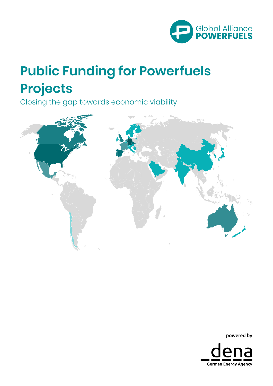

# **Public Funding for Powerfuels Projects**

Closing the gap towards economic viability



powered by

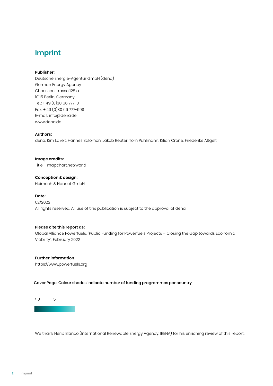# **Imprint**

#### **Publisher:**

Deutsche Energie-Agentur GmbH (dena) German Energy Agency Chausseestrasse 128 a 10115 Berlin, Germany Tel.: + 49 (0)30 66 777-0 Fax: + 49 (0)30 66 777-699 E-mail: info@dena.de www.dena.de

#### **Authors:**

dena: Kim Lakeit, Hannes Salomon, Jakob Reuter, Tom Puhlmann, Kilian Crone, Friederike Altgelt

**Image credits:** Title – mapchart.net/world

**Conception & design:** Heimrich & Hannot GmbH

#### **Date:**

02/2022 All rights reserved. All use of this publication is subject to the approval of dena.

#### **Please cite this report as:**

Global Alliance Powerfuels, "Public Funding for Powerfuels Projects – Closing the Gap towards Economic Viability", February 2022

**Further information** [https://www.powerfuels.org](https://www.powerfuels.org/)

Cover Page: Colour shades indicate number of funding programmes per country

>10 5 1

We thank Herib Blanco (International Renewable Energy Agency, IRENA) for his enriching review of this report.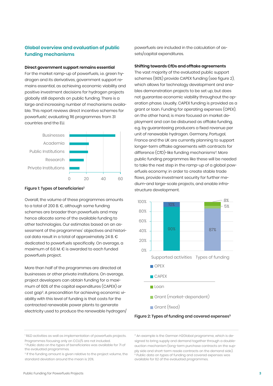# **Global overview and evaluation of public funding mechanisms**

#### **Direct government support remains essential**

For the market ramp-up of powerfuels, i.e. green hydrogen and its derivatives, government support remains essential, as achieving economic viability and positive investment decisions for hydrogen projects globally still depends on public funding. There is a large and increasing number of mechanisms available. This report reviews direct incentive schemes for powerfuels<sup>1</sup>, evaluating 116 programmes from 31 countries and the EU.



#### Figure 1: Types of beneficiaries<sup>2</sup>

Overall, the volume of these programmes amounts to a total of 200 B. €, although some funding schemes are broader than powerfuels and may hence allocate some of the available funding to other technologies. Our estimates based on an assessment of the programmes' objectives and historical data result in a total of approximately 24 B. € dedicated to powerfuels specifically. On average, a maximum of 6.6 M. € is awarded to each funded powerfuels project.

More than half of the programmes are directed at businesses or other private institutions. On average, project developers can obtain funding for a maximum of 60% of the capital expenditures (CAPEX) or cost gap<sup>3</sup>. A precondition for achieving economic viability with this level of funding is that costs for the contracted renewable power plants to generate electricity used to produce the renewable hydrogen/ powerfuels are included in the calculation of assets/capital expenditures.

#### **Shifting towards CfDs and offtake agreements**

The vast majority of the evaluated public support schemes (90%) provide CAPEX funding (see figure 2), which allows for technology development and enables demonstration projects to be set up, but does not guarantee economic viability throughout the operation phase. Usually, CAPEX funding is provided as a grant or loan. Funding for operating expenses (OPEX), on the other hand, is more focused on market deployment and can be disbursed as offtake funding, e.g. by guaranteeing producers a fixed revenue per unit of renewable hydrogen. Germany, Portugal, France and the UK are currently planning to support longer-term offtake agreements with contracts for difference (CfD)-like funding mechanisms<sup>4</sup>. More public funding programmes like these will be needed to take the next step in the ramp-up of a global powerfuels economy: in order to create stable trade flows, provide investment security for further medium-and large-scale projects, and enable infrastructure development.



Figure 2: Types of funding and covered expenses<sup>5</sup>

<sup>4</sup> An example is the German H2Global programme, which is designed to bring supply and demand together through a doubleauction mechanism (long-term purchase contracts on the supply side and short-term resale contracts on the demand side). <sup>5</sup> Public data on types of funding and covered expenses was available for 62 of the evaluated programmes.

<sup>&</sup>lt;sup>1</sup> R&D activities as well as implementation of powerfuels projects. Programmes focusing only on CCU/S are not included.

<sup>2</sup> Public data on the types of beneficiaries was available for 71 of the evaluated programmes.

<sup>&</sup>lt;sup>3</sup> If the funding amount is given relative to the project volume, the standard deviation around the mean is 20%.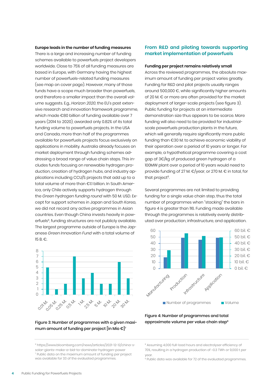#### **Europe leads in the number of funding measures**

There is a large and increasing number of funding schemes available to powerfuels project developers worldwide. Close to 75% of all funding measures are based in Europe, with Germany having the highest number of powerfuels-related funding measures (see map on cover page). However, many of those funds have a scope much broader than powerfuels, and therefore a smaller impact than the overall volume suggests. E.g., *Horizon 2020*, the EU's past extensive research and innovation framework programme, which made €80 billion of funding available over 7 years (2014 to 2020), awarded only 0.82% of its total funding volume to powerfuels projects. In the USA and Canada, more than half of the programmes available for powerfuels projects focus exclusively on applications in mobility. Australia already focuses on market deployment through funding schemes addressing a broad range of value chain steps. This includes funds focusing on renewable hydrogen production, creation of hydrogen hubs, and industry applications including CCU/S projects that add up to a total volume of more than €1.1 billion. In South America, only Chile actively supports hydrogen through the *Green hydrogen funding round* with 50 M. USD. Except for support schemes in Japan and South Korea, we did not record any active programmes in Asian countries. Even though China invests heavily in powerfuels<sup>6</sup>, funding structures are not publicly available. The largest programme outside of Europe is the Japanese *Green Innovation Fund* with a total volume of 15 B. €.



#### Figure 3: Number of programmes with a given maximum amount of funding per project [in Mio  $\epsilon$ ]<sup>7</sup>

# **From R&D and piloting towards supporting market implementation of powerfuels**

#### **Funding per project remains relatively small**

Across the reviewed programmes, the absolute maximum amount of funding per project varies greatly. Funding for R&D and pilot projects usually ranges around 500,000 €, while significantly higher amounts of 20 M. € or more are often provided for the market deployment of larger-scale projects (see figure 3). Public funding for projects at an intermediate demonstration size thus appears to be scarce. More funding will also need to be provided for industrialscale powerfuels production plants in the future, which will generally require significantly more public funding than €30 M. to achieve economic viability of their operation over a period of 10 years or longer. For example, a hypothetical programme covering a cost gap of 3€/kg of produced green hydrogen of a 100MW plant over a period of 10 years would need to provide funding of 27 M. €/year, or 270 M. € in total, for that project<sup>8</sup>.

Several programmes are not limited to providing funding for a single value chain step, thus the total number of programmes when "stacking" the bars in figure 4 is greater than 116. Funding made available through the programmes is relatively evenly distributed over production, infrastructure, and application.



### Figure 4: Number of programmes and total approximate volume per value chain step<sup>9</sup>

8 Assuming 4,000 full-load hours and electrolyser efficiency of 70%, resulting in a hydrogen production of ~0.3 TWh or 9,000 t per year.

<sup>9</sup> Public data was available for 72 of the evaluated programmes.

<sup>6</sup> https://www.bloomberg.com/news/articles/2021-12-12/china-ssolar-giants-make-a-bid-to-dominate-hydrogen-power <sup>7</sup> Public data on the maximum amount of funding per project was available for 33 of the evaluated programmes.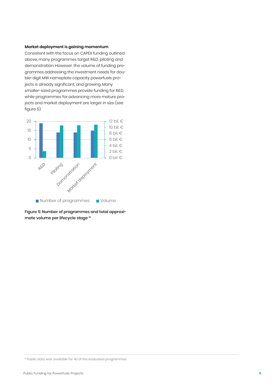#### **Market deployment is gaining momentum**

Consistent with the focus on CAPEX funding outlined above, many programmes target R&D, piloting and demonstration. However, the volume of funding programmes addressing the investment needs for double-digit MW nameplate capacity powerfuels projects is already significant, and growing. Many smaller-sized programmes provide funding for R&D, while programmes for advancing more mature projects and market deployment are larger in size (see figure 5).



Figure 5: Number of programmes and total approximate volume per lifecycle stage <sup>10</sup>

<sup>&</sup>lt;sup>10</sup> Public data was available for 40 of the evaluated programmes.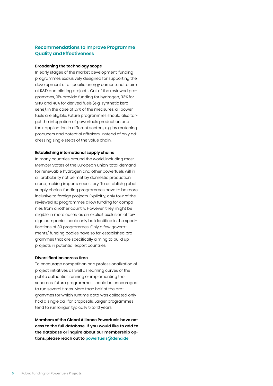# **Recommendations to Improve Programme Quality and Effectiveness**

#### **Broadening the technology scope**

In early stages of the market development, funding programmes exclusively designed for supporting the development of a specific energy carrier tend to aim at R&D and piloting projects. Out of the reviewed programmes, 91% provide funding for hydrogen, 33% for SNG and 40% for derived fuels (e.g. synthetic kerosene). In the case of 27% of the measures, all powerfuels are eligible. Future programmes should also target the integration of powerfuels production and their application in different sectors, e.g. by matching producers and potential offtakers, instead of only addressing single steps of the value chain.

#### **Establishing international supply chains**

In many countries around the world, including most Member States of the European Union, total demand for renewable hydrogen and other powerfuels will in all probability not be met by domestic production alone, making imports necessary. To establish global supply chains, funding programmes have to be more inclusive to foreign projects. Explicitly, only four of the reviewed 116 programmes allow funding for companies from another country. However, they might be eligible in more cases, as an explicit exclusion of foreign companies could only be identified in the specifications of 30 programmes. Only a few governments/ funding bodies have so far established programmes that are specifically aiming to build up projects in potential export countries.

#### **Diversification across time**

To encourage competition and professionalization of project initiatives as well as learning curves of the public authorities running or implementing the schemes, future programmes should be encouraged to run several times. More than half of the programmes for which runtime data was collected only had a single call for proposals. Larger programmes tend to run longer, typically 5 to 10 years.

**Members of the Global Alliance Powerfuels have access to the full database. If you would like to add to the database or inquire about our membership options, please reach out to powerfuels@dena.de**